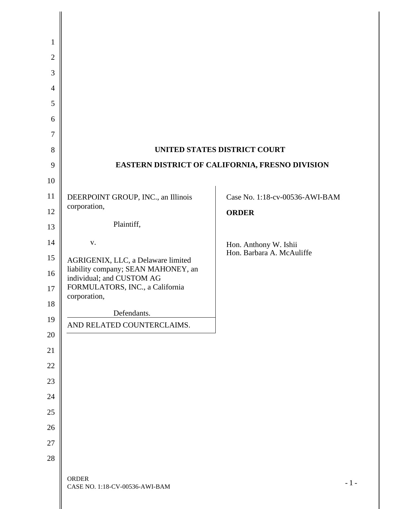| $\mathbf{1}$   |                                                                  |                                |
|----------------|------------------------------------------------------------------|--------------------------------|
| $\overline{2}$ |                                                                  |                                |
| 3              |                                                                  |                                |
| $\overline{4}$ |                                                                  |                                |
| 5              |                                                                  |                                |
| 6              |                                                                  |                                |
| $\tau$         |                                                                  |                                |
| 8              | UNITED STATES DISTRICT COURT                                     |                                |
| 9              | EASTERN DISTRICT OF CALIFORNIA, FRESNO DIVISION                  |                                |
| 10             |                                                                  |                                |
| 11             | DEERPOINT GROUP, INC., an Illinois                               | Case No. 1:18-cv-00536-AWI-BAM |
| 12             | corporation,                                                     | <b>ORDER</b>                   |
| 13             | Plaintiff,                                                       |                                |
| 14             | ${\bf V}$ .                                                      | Hon. Anthony W. Ishii          |
| 15             | AGRIGENIX, LLC, a Delaware limited                               | Hon. Barbara A. McAuliffe      |
| 16             | liability company; SEAN MAHONEY, an<br>individual; and CUSTOM AG |                                |
| 17             | FORMULATORS, INC., a California<br>corporation,                  |                                |
| 18             | Defendants.                                                      |                                |
| 19             | AND RELATED COUNTERCLAIMS.                                       |                                |
| 20             |                                                                  |                                |
| 21             |                                                                  |                                |
| 22             |                                                                  |                                |
| 23             |                                                                  |                                |
| 24             |                                                                  |                                |
| 25             |                                                                  |                                |
| 26             |                                                                  |                                |
| 27             |                                                                  |                                |
| 28             |                                                                  |                                |
|                | <b>ORDER</b><br>CASE NO. 1:18-CV-00536-AWI-BAM                   | $-1-$                          |